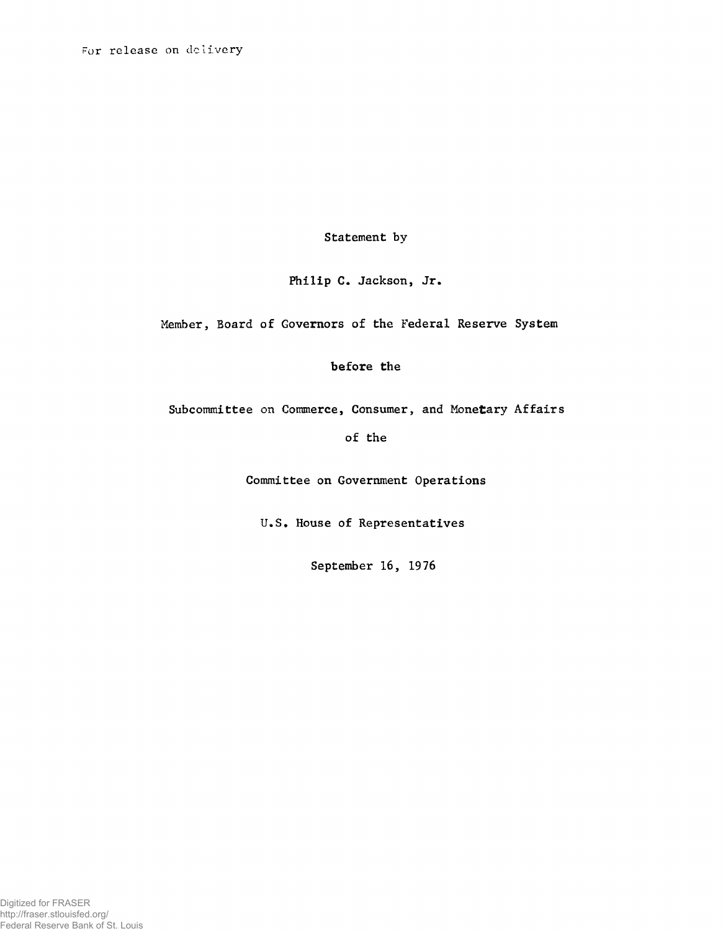**For release on delivery**

Statement by

Philip C. Jackson, Jr.

Member, Board of Governors of the Federal Reserve System

before the

Subcommittee on Commerce, Consumer, and Monetary Affairs

of the

Committee on Government Operations

U.S. House of Representatives

September 16, 1976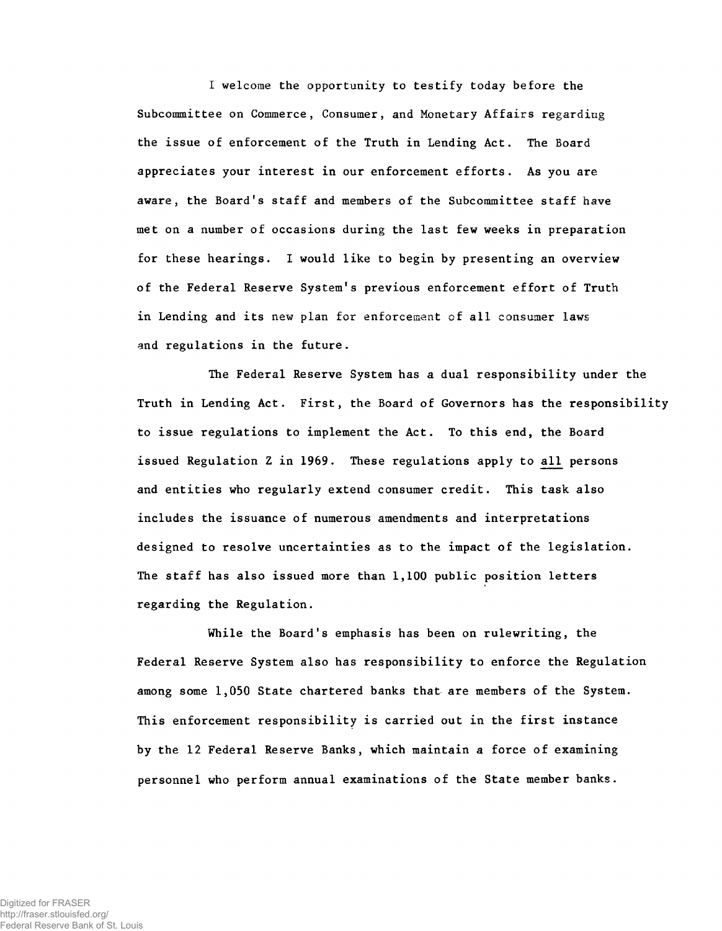I welcome the opportunity to testify today before the Subcommittee on Commerce, Consumer, and Monetary Affairs regarding the issue of enforcement of the Truth in Lending Act. The Board appreciates your interest in our enforcement efforts. As you are aware, the Board's staff and members of the Subcommittee staff have met on a number of occasions during the last few weeks in preparation for these hearings. I would like to begin by presenting an overview of the Federal Reserve System's previous enforcement effort of Truth in Lending and its new plan for enforcement of all consumer laws and regulations in the future.

The Federal Reserve System has a dual responsibility under the Truth in Lending Act. First, the Board of Governors has the responsibility to issue regulations to implement the Act. To this end, the Board issued Regulation Z in 1969. These regulations apply to all persons and entities who regularly extend consumer credit. This task also includes the issuance of numerous amendments and interpretations designed to resolve uncertainties as to the impact of the legislation. The staff has also issued more than  $1,100$  public position letters regarding the Regulation.

While the Board's emphasis has been on rulewriting, the Federal Reserve System also has responsibility to enforce the Regulation among some 1,050 State chartered banks that are members of the System. This enforcement responsibility is carried out in the first instance by the 12 Federal Reserve Banks, which maintain a force of examining personnel who perform annual examinations of the State member banks.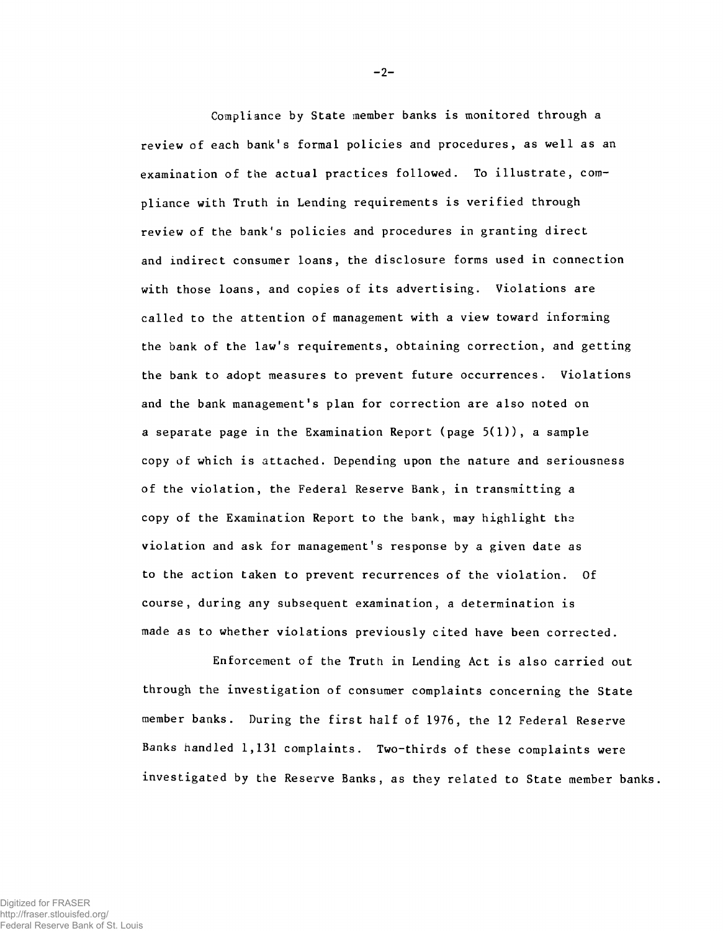Compliance by State member banks is monitored through a review of each bank's formal policies and procedures, as well as an examination of the actual practices followed. To illustrate, compliance with Truth in Lending requirements is verified through review of the bank's policies and procedures in granting direct and indirect consumer loans, the disclosure forms used in connection with those loans, and copies of its advertising. Violations are called to the attention of management with a view toward informing the bank of the law's requirements, obtaining correction, and getting the bank to adopt measures to prevent future occurrences. Violations and the bank management's plan for correction are also noted on a separate page in the Examination Report (page  $5(1)$ ), a sample copy of which is attached. Depending upon the nature and seriousness of the violation, the Federal Reserve Bank, in transmitting a copy of the Examination Report to the bank, may highlight the violation and ask for management's response by a given date as to the action taken to prevent recurrences of the violation. Of course, during any subsequent examination, a determination is made as to whether violations previously cited have been corrected.

Enforcement of the Truth in Lending Act is also carried out through the investigation of consumer complaints concerning the State member banks. During the first half of 1976, the 12 Federal Reserve Banks handled 1,131 complaints. Two-thirds of these complaints were investigated by the Reserve Banks, as they related to State member banks.

**-2-**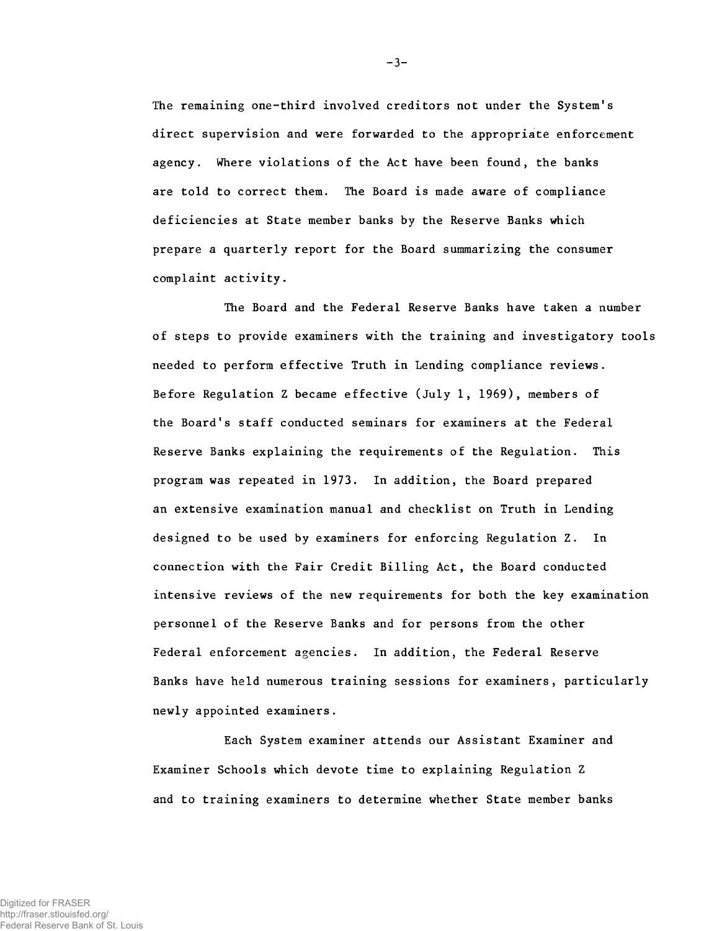The remaining one-third involved creditors not under the System's direct supervision and were forwarded to the appropriate enforcement agency. Where violations of the Act have been found, the banks are told to correct them. The Board is made aware of compliance deficiencies at State member banks by the Reserve Banks which prepare a quarterly report for the Board summarizing the consumer complaint activity.

The Board and the Federal Reserve Banks have taken a number of steps to provide examiners with the training and investigatory tools needed to perform effective Truth in Lending compliance reviews. Before Regulation Z became effective (July 1, 1969), members of the Board's staff conducted seminars for examiners at the Federal Reserve Banks explaining the requirements of the Regulation. This program was repeated in 1973. In addition, the Board prepared an extensive examination manual and checklist on Truth in Lending designed to be used by examiners for enforcing Regulation Z. In connection with the Fair Credit Billing Act, the Board conducted intensive reviews of the new requirements for both the key examination personnel of the Reserve Banks and for persons from the other Federal enforcement agencies. In addition, the Federal Reserve Banks have held numerous training sessions for examiners, particularly newly appointed examiners.

Each System examiner attends our Assistant Examiner and Examiner Schools which devote time to explaining Regulation Z and to training examiners to determine whether State member banks

**-3-**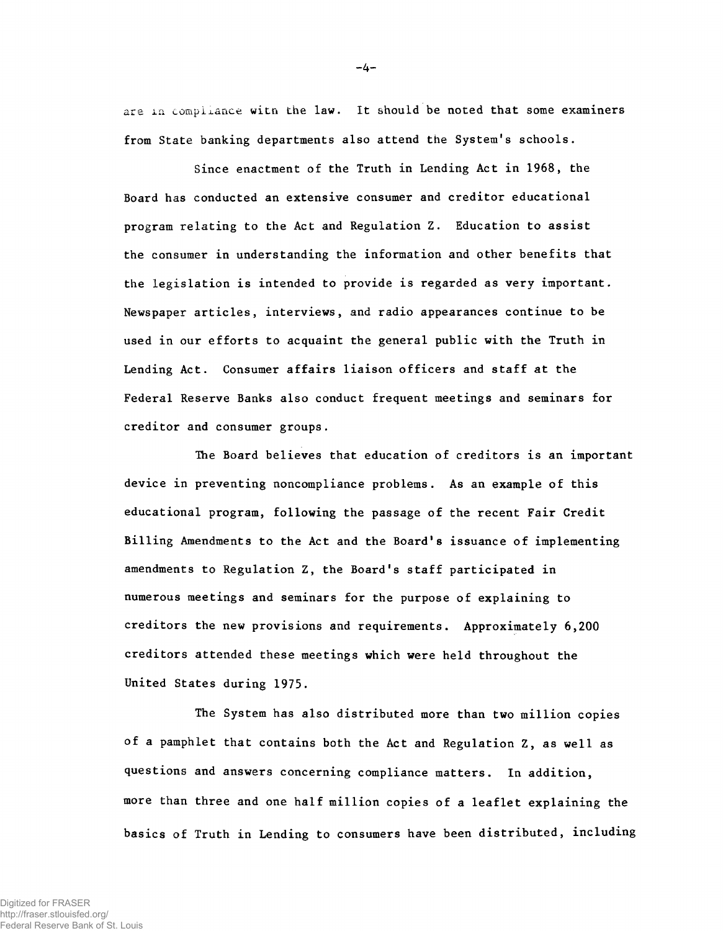are in compliance with the law. It should be noted that some examiners **from State banking departments also attend the System's schools.**

Since enactment of the Truth in Lending Act in 1968, the Board has conducted an extensive consumer and creditor educational program relating to the Act and Regulation Z. Education to assist the consumer in understanding the information and other benefits that the legislation is intended to provide is regarded as very important. Newspaper articles, interviews, and radio appearances continue to be used in our efforts to acquaint the general public with the Truth in Lending Act. Consumer affairs liaison officers and staff at the Federal Reserve Banks also conduct frequent meetings and seminars for creditor and consumer groups.

The Board believes that education of creditors is an important device in preventing noncompliance problems. As an example of this educational program, following the passage of the recent Fair Credit Billing Amendments to the Act and the Board's issuance of implementing amendments to Regulation Z, the Board's staff participated in numerous meetings and seminars for the purpose of explaining to creditors the new provisions and requirements. Approximately 6,200 creditors attended these meetings which were held throughout the United States during 1975.

The System has also distributed more than two million copies of a pamphlet that contains both the Act and Regulation Z, as well as questions and answers concerning compliance matters. In addition, more than three and one half million copies of a leaflet explaining the basics of Truth in Lending to consumers have been distributed, including

**-4-**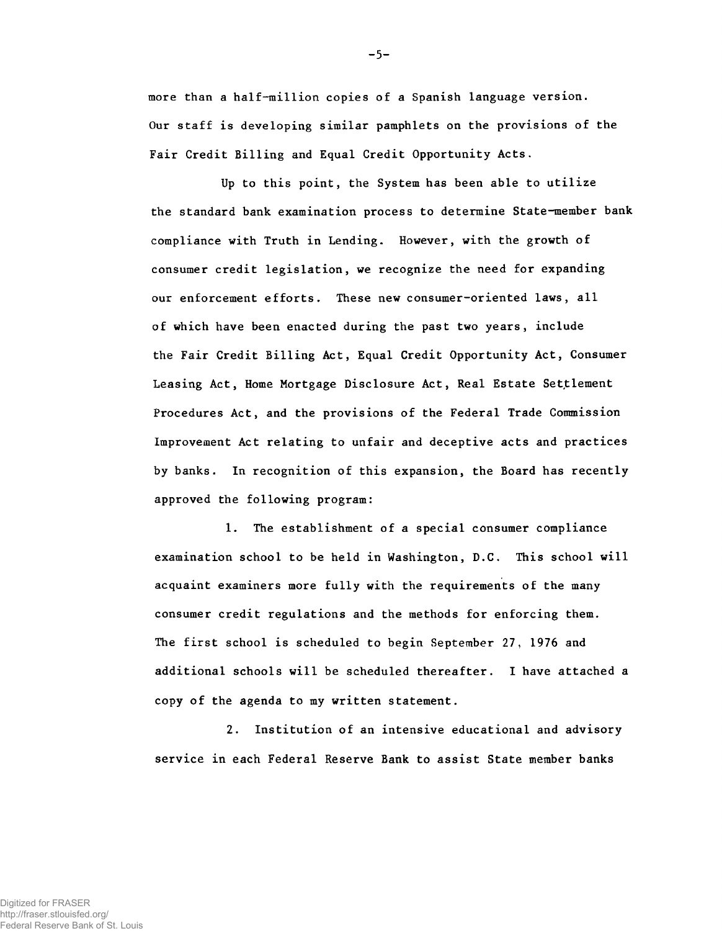more than a half-million copies of a Spanish language version. Our staff is developing similar pamphlets on the provisions of the Fair Credit Billing and Equal Credit Opportunity Acts.

Up to this point, the System has been able to utilize the standard bank examination process to determine State-member bank compliance with Truth in Lending. However, with the growth of consumer credit legislation, we recognize the need for expanding our enforcement efforts. These new consumer-oriented laws, all of which have been enacted during the past two years, include the Fair Credit Billing Act, Equal Credit Opportunity Act, Consumer Leasing Act, Home Mortgage Disclosure Act, Real Estate Settlement Procedures Act, and the provisions of the Federal Trade Commission Improvement Act relating to unfair and deceptive acts and practices by banks. In recognition of this expansion, the Board has recently approved the following program:

1. The establishment of a special consumer compliance examination school to be held in Washington, D.C. This school will acquaint examiners more fully with the requirements of the many consumer credit regulations and the methods for enforcing them. The first school is scheduled to begin September 27, 1976 and additional schools will be scheduled thereafter. I have attached a copy of the agenda to my written statement.

2. Institution of an intensive educational and advisory service in each Federal Reserve Bank to assist State member banks

**-5-**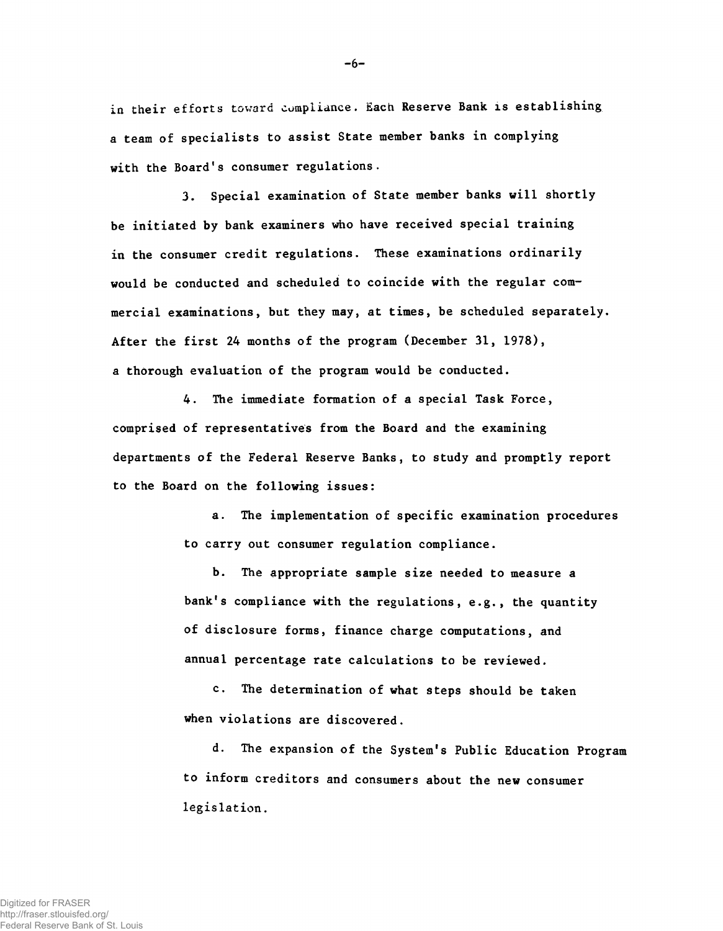**in their efforts toward compliance. Each Reserve Bank is establishing a team of specialists to assist State member banks in complying with the Board's consumer regulations.**

3. Special examination of State member banks will shortly be initiated by bank examiners who have received special training in the consumer credit regulations. These examinations ordinarily would be conducted and scheduled to coincide with the regular commercial examinations, but they may, at times, be scheduled separately. After the first 24 months of the program (December 31, 1978), a thorough evaluation of the program would be conducted.

4. The immediate formation of a special Task Force, comprised of representatives from the Board and the examining departments of the Federal Reserve Banks, to study and promptly report to the Board on the following issues:

> a. The implementation of specific examination procedures to carry out consumer regulation compliance.

b. The appropriate sample size needed to measure a bank's compliance with the regulations, e.g., the quantity of disclosure forms, finance charge computations, and annual percentage rate calculations to be reviewed.

c. The determination of what steps should be taken when violations are discovered.

d. The expansion of the System's Public Education Program to inform creditors and consumers about the new consumer legislation.

**-6-**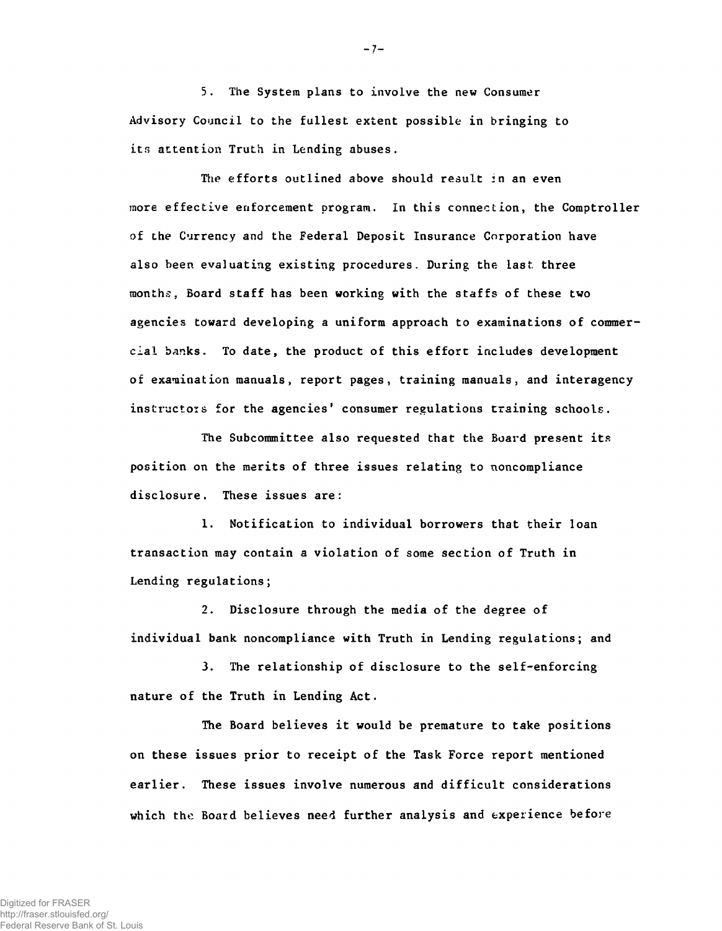5. The System plans to involve the new Consumer Advisory Council to the fullest extent possible in bringing to its attention Truth in Lending abuses.

The efforts outlined above should result in an even more effective enforcement program. In this connection, the Comptroller of the Currency and the Federal Deposit Insurance. Corporation have also been evaluating existing procedures. During the last three months, Board staff has been working with the staffs of these two agencies toward developing a uniform approach to examinations of commercial banks. To date, the product of this effort includes development of examination manuals, report pages, training manuals, and interagency instructors for the agencies' consumer regulations training schools.

The Subcommittee also requested that the Board present its position on the merits of three issues relating to noncompliance disclosure. These issues are:

1. Notification to individual borrowers that their loan transaction may contain a violation of some section of Truth in Lending regulations;

2. Disclosure through the media of the degree of individual bank noncompliance with Truth in Lending regulations; and

3. The relationship of disclosure to the self-enforcing nature of the Truth in Lending Act.

The Board believes it would be premature to take positions on these issues prior to receipt of the Task Force report mentioned earlier. These issues involve numerous and difficult considerations which the Board believes need further analysis and experience before

**-7-**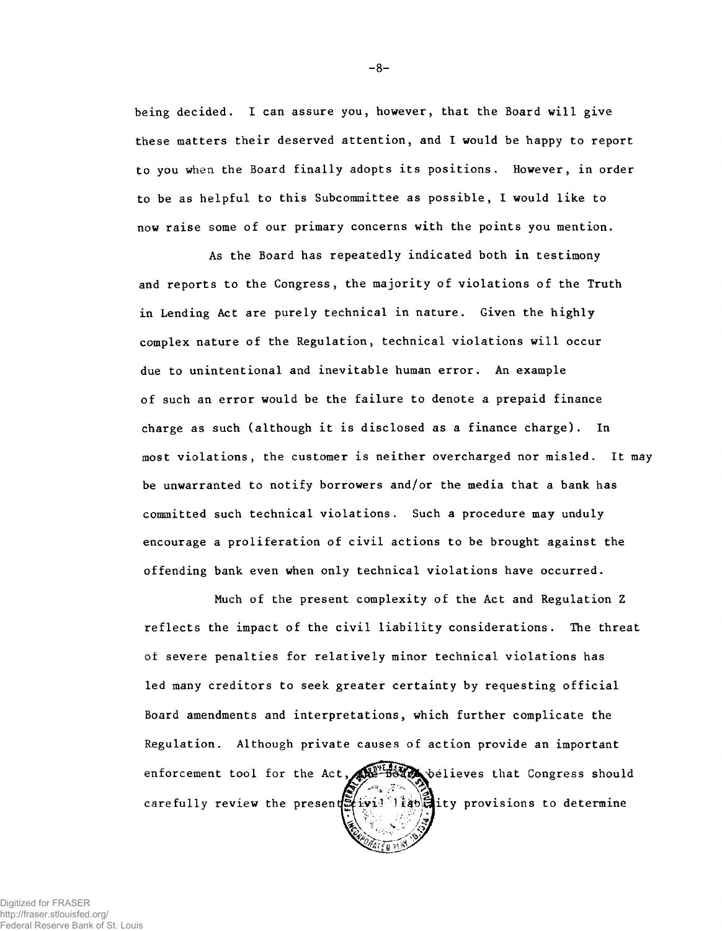**being decided. I can assure you, however, that the Board will give these matters their deserved attention, and I would be happy to report to you when the Board finally adopts its positions. However, in order to be as helpful to this Subcommittee as possible, I would like to now raise some of our primary concerns with the points you mention.**

**and reports to the Congress, the majority of violations of the Truth in Lending Act are purely technical in nature. Given the highly complex nature of the Regulation, technical violations will occur due to unintentional and inevitable human error. An example of such an error would be the failure to denote a prepaid finance charge as such (although it is disclosed as a finance charge). In most violations, the customer is neither overcharged nor misled. It may be unwarranted to notify borrowers and/or the media that a bank has committed such technical violations. Such a procedure may unduly encourage a proliferation of civil actions to be brought against the offending bank even when only technical violations have occurred. As the Board has repeatedly indicated both in testimony**

**reflects the impact of the civil liability considerations. The threat of severe penalties for relatively minor technical violations has led many creditors to seek greater certainty by requesting official Board amendments and interpretations, which further complicate the Regulation. Although private causes of action provide an important Much of the present complexity of the Act and Regulation Z** carefully review the present  $\mathbb{E}[x]$  is lightly provisions to determine enforcement tool for the Act, where Believes that Congress should

- **8**-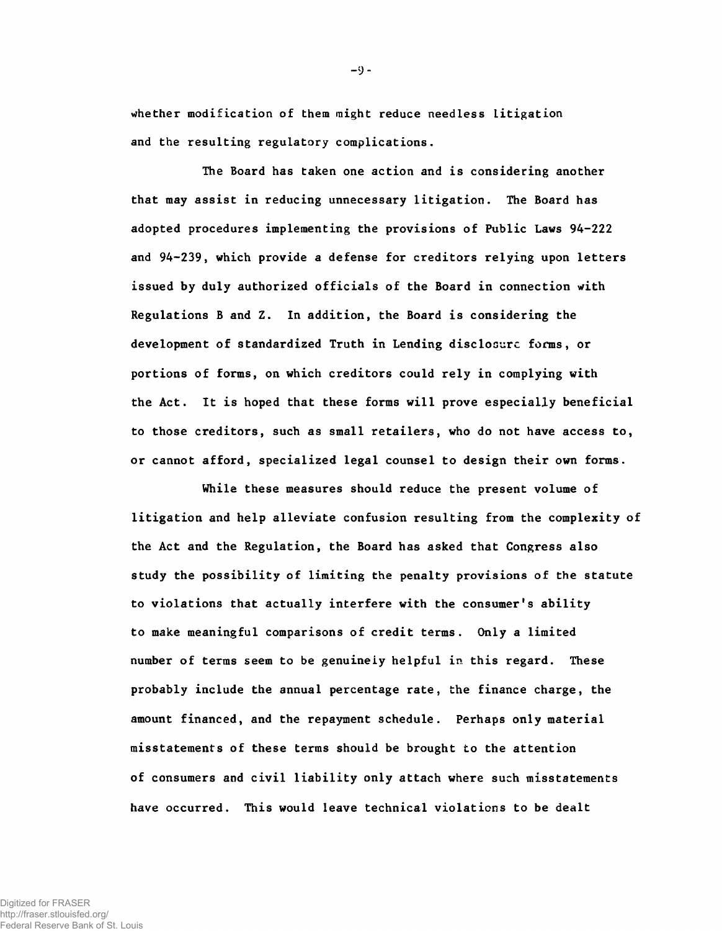whether modification of them might reduce needless litigation and the resulting regulatory complications.

The Board has taken one action and is considering another that may assist in reducing unnecessary litigation. The Board has adopted procedures implementing the provisions of Public Laws 94-222 and 94-239, which provide a defense for creditors relying upon letters issued by duly authorized officials of the Board in connection with Regulations B and Z. In addition, the Board is considering the development of standardized Truth in Lending disclosure forms, or portions of forms, on which creditors could rely in complying with the Act. It is hoped that these forms will prove especially beneficial to those creditors, such as small retailers, who do not have access to, or cannot afford, specialized legal counsel to design their own forms.

While these measures should reduce the present volume of litigation and help alleviate confusion resulting from the complexity of the Act and the Regulation, the Board has asked that Congress also study the possibility of limiting the penalty provisions of the statute to violations that actually interfere with the consumer's ability to make meaningful comparisons of credit terms. Only a limited number of terms seem to be genuinely helpful in this regard. These probably include the annual percentage rate, the finance charge, the amount financed, and the repayment schedule. Perhaps only material misstatements of these terms should be brought to the attention of consumers and civil liability only attach where such misstatements have occurred. This would leave technical violations to be dealt

 $-9 -$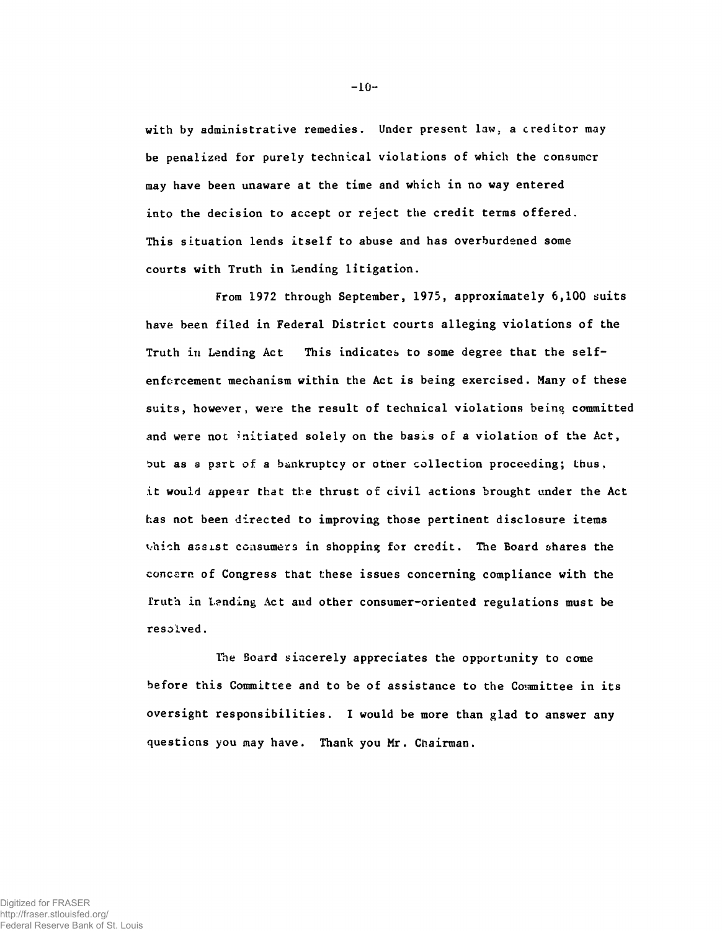with by administrative remedies. Under present law, a creditor may be penalized for purely technical violations of which the consumer may have been unaware at the time and which in no way entered into the decision to accept or reject the credit terms offered. This situation lends itself to abuse and has overburdened some courts with Truth in Lending litigation.

From 1972 through September, 1975, approximately 6,100 suits have been filed in Federal District courts alleging violations of the Truth in Lending Act This indicates to some degree that the selfenforcement mechanism within the Act is being exercised. Many of these suits, however, were the result of technical violations being committed and were not initiated solely on the basis of a violation of the Act, but as a part of a bankruptcy or other collection proceeding; thus, it would appear that the thrust of civil actions brought under the Act has not been directed to improving those pertinent disclosure items vhich assist consumers in shopping for credit. The Board shares the concern of Congress that these issues concerning compliance with the Truth in Lending Act and other consumer-oriented regulations must be resolved.

The Board sincerely appreciates the opportunity to come before this Committee and to be of assistance to the Committee in its oversight responsibilities. I would be more than glad to answer any questions you may have. Thank you Mr. Chairman.

 $-10-$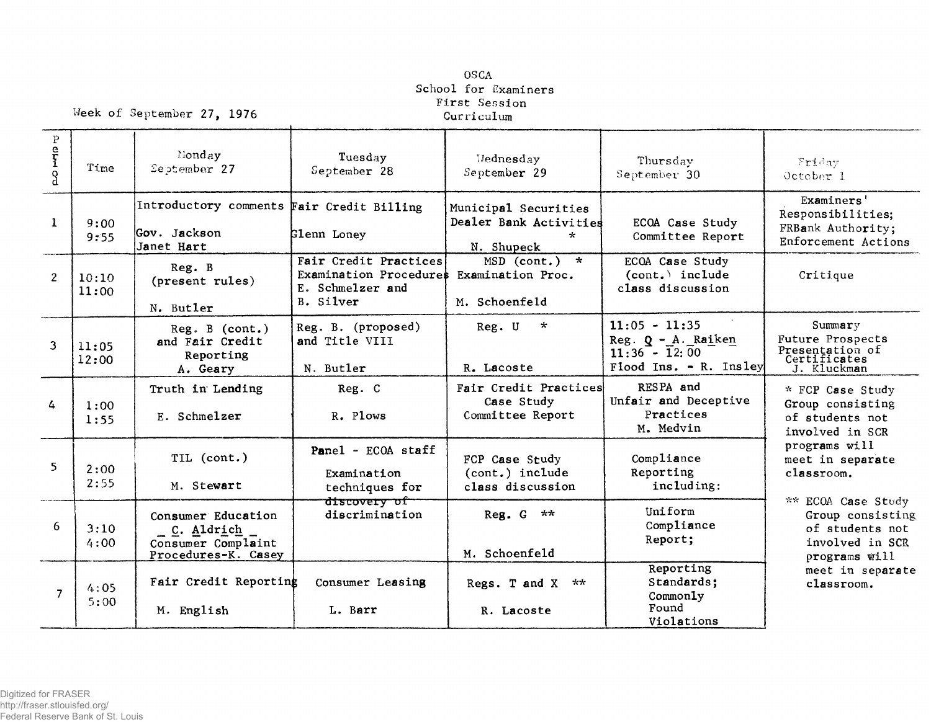## **OSCA School for Examiners First Session**

Week of September 27, 1976

| $\rm P$        |                |                                                                               |                                                                                  |                                                                         |                                                                                      |                                                                                                    |
|----------------|----------------|-------------------------------------------------------------------------------|----------------------------------------------------------------------------------|-------------------------------------------------------------------------|--------------------------------------------------------------------------------------|----------------------------------------------------------------------------------------------------|
| errio          | Time           | Nonday<br>September 27                                                        | Tuesday<br>September 28                                                          | Wednesday<br>September 29                                               | Thursday<br>September 30                                                             | Friday<br>October 1                                                                                |
| $\mathbf{1}$   | 9:00<br>9:55   | Introductory comments Fair Credit Billing<br>Gov. Jackson<br>Janet Hart       | Glenn Loney                                                                      | Municipal Securities<br>Dealer Bank Activities<br>$\star$<br>N. Shupeck | ECOA Case Study<br>Committee Report                                                  | Examiners'<br>Responsibilities;<br>FRBank Authority;<br>Enforcement Actions                        |
| $\overline{2}$ | 10:10<br>11:00 | Reg. B<br>(present rules)<br>N. Butler                                        | Fair Credit Practices<br>Examination Procedures<br>E. Schmelzer and<br>B. Silver | MSD (cont.)<br>$\star$<br>Examination Proc.<br>M. Schoenfeld            | ECOA Case Study<br>$(cont.)$ include<br>class discussion                             | Critique                                                                                           |
| 3              | 11:05<br>12:00 | Reg. B (cont.)<br>and Fair Credit<br>Reporting<br>A. Geary                    | Reg. B. (proposed)<br>and Title VIII<br>N. Butler                                | Reg. U<br>$\star$<br>R. Lacoste                                         | $11:05 - 11:35$<br>$Reg. Q - A. Raiken$<br>$11:36 - 12:00$<br>Flood Ins. - R. Insley | Summary<br>Future Prospects<br>Presentation of<br>Certificates<br>J. Kluckman                      |
| 4              | 1:00<br>1:55   | Truth in Lending<br>E. Schmelzer                                              | Reg. C<br>R. Plows                                                               | Fair Credit Practices<br>Case Study<br>Committee Report                 | RESPA and<br>Unfair and Deceptive<br>Practices<br>M. Medvin                          | * FCP Case Study<br>Group consisting<br>of students not<br>involved in SCR                         |
| 5              | 2:00<br>2:55   | TIL (cont.)<br>M. Stewart                                                     | Panel - ECOA staff<br>Examination<br>techniques for                              | FCP Case Study<br>(cont.) include<br>class discussion                   | Compliance<br>Reporting<br>including:                                                | programs will<br>meet in separate<br>classroom.                                                    |
| 6              | 3:10<br>4:00   | Consumer Education<br>C. Aldrich<br>Consumer Complaint<br>Procedures-K. Casey | discovery of<br>discrimination                                                   | Reg. $G \star \star$<br>M. Schoenfeld                                   | Ini form<br>Compliance<br>Report;                                                    | ** ECOA Case Study<br>Group consisting<br>of students not<br>involved in SCR<br>programs $with 11$ |
| 7              | 4:05<br>5:00   | Fair Credit Reporting<br>M. English                                           | Consumer Leasing<br>L. Barr                                                      | Regs. T and X<br>**<br>R. Lacoste                                       | Reporting<br>Standards;<br>Commonly<br>Found<br>Violations                           | meet in separate<br>classroom.                                                                     |